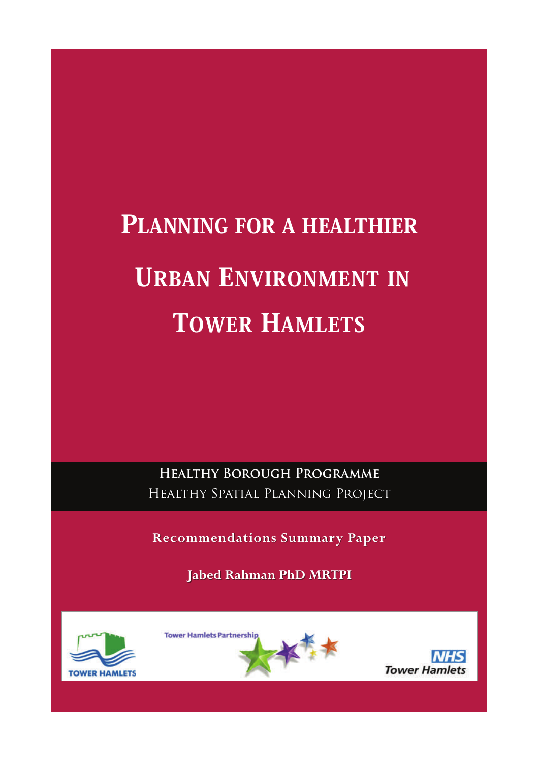# PLANNING FOR A HEALTHIER URBAN ENVIRONMENT IN TOWER HAMLETS

**Healthy Borough Programme** Healthy Spatial Planning Project Healthy Spatial Planning Project

**Recommendations Summary Paper Recommendations Summary Paper**

**Jabed Rahman PhD MRTPI Jabed Rahman PhD MRTPI**





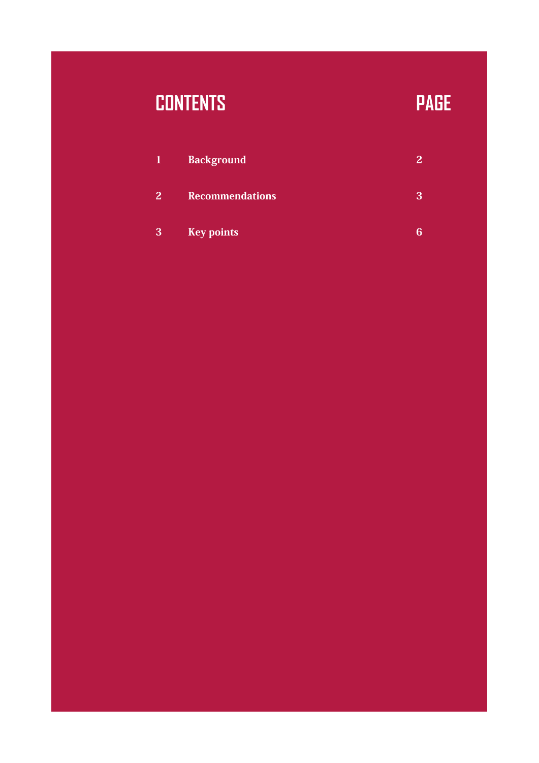# **CONTENTS PAGE**

| <b>AV</b>      | <b>Background</b>      |  |
|----------------|------------------------|--|
| 2 <sup>1</sup> | <b>Recommendations</b> |  |
| 3              | <b>Key points</b>      |  |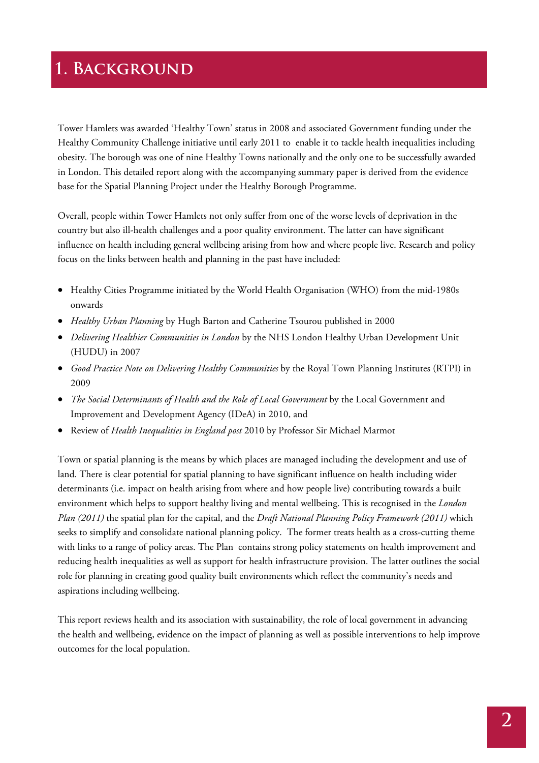## **1. Background**

Tower Hamlets was awarded 'Healthy Town' status in 2008 and associated Government funding under the Healthy Community Challenge initiative until early 2011 to enable it to tackle health inequalities including obesity. The borough was one of nine Healthy Towns nationally and the only one to be successfully awarded in London. This detailed report along with the accompanying summary paper is derived from the evidence base for the Spatial Planning Project under the Healthy Borough Programme.

Overall, people within Tower Hamlets not only suffer from one of the worse levels of deprivation in the country but also ill-health challenges and a poor quality environment. The latter can have significant influence on health including general wellbeing arising from how and where people live. Research and policy focus on the links between health and planning in the past have included:

- Healthy Cities Programme initiated by the World Health Organisation (WHO) from the mid-1980s onwards
- *Healthy Urban Planning* by Hugh Barton and Catherine Tsourou published in 2000
- *Delivering Healthier Communities in London* by the NHS London Healthy Urban Development Unit (HUDU) in 2007
- *Good Practice Note on Delivering Healthy Communities* by the Royal Town Planning Institutes (RTPI) in 2009
- *The Social Determinants of Health and the Role of Local Government* by the Local Government and Improvement and Development Agency (IDeA) in 2010, and
- Review of *Health Inequalities in England post* 2010 by Professor Sir Michael Marmot

Town or spatial planning is the means by which places are managed including the development and use of land. There is clear potential for spatial planning to have significant influence on health including wider determinants (i.e. impact on health arising from where and how people live) contributing towards a built environment which helps to support healthy living and mental wellbeing. This is recognised in the *London Plan (2011)* the spatial plan for the capital, and the *Draft National Planning Policy Framework (2011)* which seeks to simplify and consolidate national planning policy. The former treats health as a cross-cutting theme with links to a range of policy areas. The Plan contains strong policy statements on health improvement and reducing health inequalities as well as support for health infrastructure provision. The latter outlines the social role for planning in creating good quality built environments which reflect the community's needs and aspirations including wellbeing.

This report reviews health and its association with sustainability, the role of local government in advancing the health and wellbeing, evidence on the impact of planning as well as possible interventions to help improve outcomes for the local population.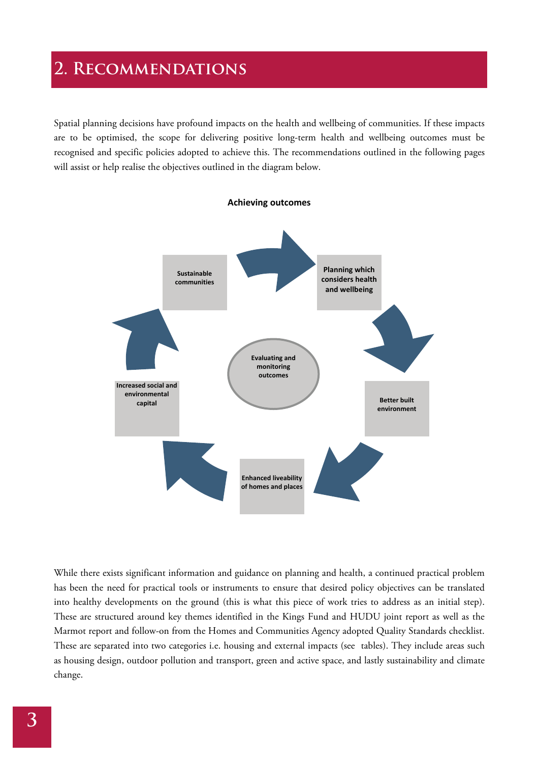# **2. Recommendations**

Spatial planning decisions have profound impacts on the health and wellbeing of communities. If these impacts are to be optimised, the scope for delivering positive long-term health and wellbeing outcomes must be recognised and specific policies adopted to achieve this. The recommendations outlined in the following pages will assist or help realise the objectives outlined in the diagram below.



While there exists significant information and guidance on planning and health, a continued practical problem has been the need for practical tools or instruments to ensure that desired policy objectives can be translated into healthy developments on the ground (this is what this piece of work tries to address as an initial step). These are structured around key themes identified in the Kings Fund and HUDU joint report as well as the Marmot report and follow-on from the Homes and Communities Agency adopted Quality Standards checklist. These are separated into two categories i.e. housing and external impacts (see tables). They include areas such as housing design, outdoor pollution and transport, green and active space, and lastly sustainability and climate change.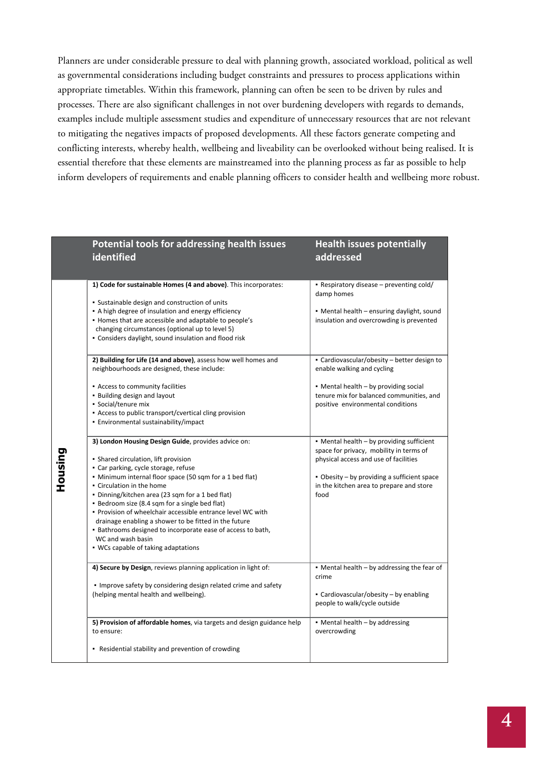Planners are under considerable pressure to deal with planning growth, associated workload, political as well as governmental considerations including budget constraints and pressures to process applications within appropriate timetables. Within this framework, planning can often be seen to be driven by rules and processes. There are also significant challenges in not over burdening developers with regards to demands, examples include multiple assessment studies and expenditure of unnecessary resources that are not relevant to mitigating the negatives impacts of proposed developments. All these factors generate competing and conflicting interests, whereby health, wellbeing and liveability can be overlooked without being realised. It is essential therefore that these elements are mainstreamed into the planning process as far as possible to help inform developers of requirements and enable planning officers to consider health and wellbeing more robust.

|         | Potential tools for addressing health issues<br><b>identified</b>                                                                                                                                                                                                                                                                                                                                                                                                                                                                                                                                                                                                                                                                                                                                                                                                                                                                                                                                                                                                                                                                                                                                                                                     | <b>Health issues potentially</b><br>addressed                                                                                                                                                                                                                                                                                                                                                                                                                                                                                                                                               |
|---------|-------------------------------------------------------------------------------------------------------------------------------------------------------------------------------------------------------------------------------------------------------------------------------------------------------------------------------------------------------------------------------------------------------------------------------------------------------------------------------------------------------------------------------------------------------------------------------------------------------------------------------------------------------------------------------------------------------------------------------------------------------------------------------------------------------------------------------------------------------------------------------------------------------------------------------------------------------------------------------------------------------------------------------------------------------------------------------------------------------------------------------------------------------------------------------------------------------------------------------------------------------|---------------------------------------------------------------------------------------------------------------------------------------------------------------------------------------------------------------------------------------------------------------------------------------------------------------------------------------------------------------------------------------------------------------------------------------------------------------------------------------------------------------------------------------------------------------------------------------------|
| Housing | 1) Code for sustainable Homes (4 and above). This incorporates:<br>• Sustainable design and construction of units<br>• A high degree of insulation and energy efficiency<br>• Homes that are accessible and adaptable to people's<br>changing circumstances (optional up to level 5)<br>• Considers daylight, sound insulation and flood risk<br>2) Building for Life (14 and above), assess how well homes and<br>neighbourhoods are designed, these include:<br>• Access to community facilities<br>. Building design and layout<br>• Social/tenure mix<br>• Access to public transport/cvertical cling provision<br>· Environmental sustainability/impact<br>3) London Housing Design Guide, provides advice on:<br>• Shared circulation, lift provision<br>• Car parking, cycle storage, refuse<br>• Minimum internal floor space (50 sqm for a 1 bed flat)<br>• Circulation in the home<br>. Dinning/kitchen area (23 sqm for a 1 bed flat)<br>• Bedroom size (8.4 sqm for a single bed flat)<br>. Provision of wheelchair accessible entrance level WC with<br>drainage enabling a shower to be fitted in the future<br>. Bathrooms designed to incorporate ease of access to bath,<br>WC and wash basin<br>. WCs capable of taking adaptations | - Respiratory disease – preventing cold/<br>damp homes<br>• Mental health – ensuring daylight, sound<br>insulation and overcrowding is prevented<br>• Cardiovascular/obesity - better design to<br>enable walking and cycling<br>• Mental health - by providing social<br>tenure mix for balanced communities, and<br>positive environmental conditions<br>• Mental health – by providing sufficient<br>space for privacy, mobility in terms of<br>physical access and use of facilities<br>• Obesity – by providing a sufficient space<br>in the kitchen area to prepare and store<br>food |
|         | 4) Secure by Design, reviews planning application in light of:<br>. Improve safety by considering design related crime and safety<br>(helping mental health and wellbeing).                                                                                                                                                                                                                                                                                                                                                                                                                                                                                                                                                                                                                                                                                                                                                                                                                                                                                                                                                                                                                                                                           | • Mental health – by addressing the fear of<br>crime<br>• Cardiovascular/obesity - by enabling<br>people to walk/cycle outside                                                                                                                                                                                                                                                                                                                                                                                                                                                              |
|         | 5) Provision of affordable homes, via targets and design guidance help<br>to ensure:<br>• Residential stability and prevention of crowding                                                                                                                                                                                                                                                                                                                                                                                                                                                                                                                                                                                                                                                                                                                                                                                                                                                                                                                                                                                                                                                                                                            | • Mental health - by addressing<br>overcrowding                                                                                                                                                                                                                                                                                                                                                                                                                                                                                                                                             |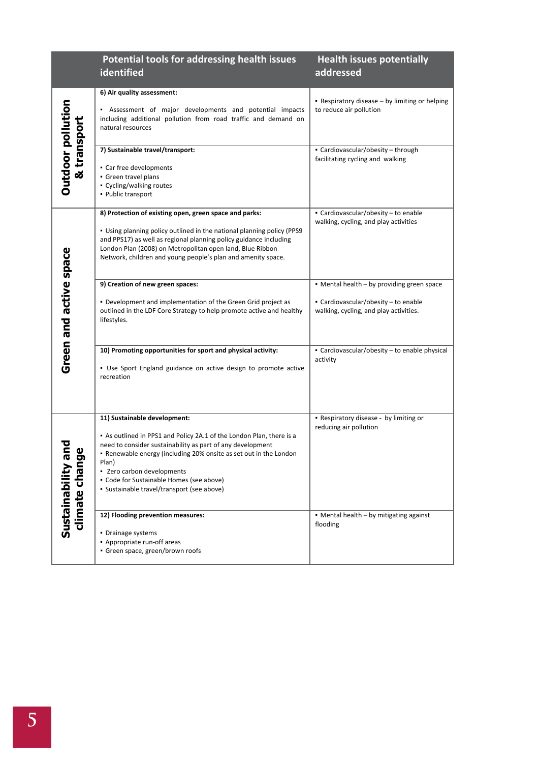|                                      | <b>Potential tools for addressing health issues</b><br>identified                                                                                                                                                                                                                                                                                                        | <b>Health issues potentially</b><br>addressed                                                                                |
|--------------------------------------|--------------------------------------------------------------------------------------------------------------------------------------------------------------------------------------------------------------------------------------------------------------------------------------------------------------------------------------------------------------------------|------------------------------------------------------------------------------------------------------------------------------|
| Outdoor pollution<br>& transport     | 6) Air quality assessment:<br>- Assessment of major developments and potential impacts<br>including additional pollution from road traffic and demand on<br>natural resources                                                                                                                                                                                            | • Respiratory disease – by limiting or helping<br>to reduce air pollution                                                    |
|                                      | 7) Sustainable travel/transport:<br>• Car free developments<br>• Green travel plans<br>• Cycling/walking routes<br>• Public transport                                                                                                                                                                                                                                    | · Cardiovascular/obesity - through<br>facilitating cycling and walking                                                       |
| Green and active space               | 8) Protection of existing open, green space and parks:<br>• Using planning policy outlined in the national planning policy (PPS9<br>and PPS17) as well as regional planning policy guidance including<br>London Plan (2008) on Metropolitan open land, Blue Ribbon<br>Network, children and young people's plan and amenity space.                                       | • Cardiovascular/obesity - to enable<br>walking, cycling, and play activities                                                |
|                                      | 9) Creation of new green spaces:<br>• Development and implementation of the Green Grid project as<br>outlined in the LDF Core Strategy to help promote active and healthy<br>lifestyles.                                                                                                                                                                                 | • Mental health - by providing green space<br>• Cardiovascular/obesity – to enable<br>walking, cycling, and play activities. |
|                                      | 10) Promoting opportunities for sport and physical activity:<br>• Use Sport England guidance on active design to promote active<br>recreation                                                                                                                                                                                                                            | • Cardiovascular/obesity - to enable physical<br>activity                                                                    |
| ω<br>climate chang<br>Sustainability | 11) Sustainable development:<br>• As outlined in PPS1 and Policy 2A.1 of the London Plan, there is a<br>need to consider sustainability as part of any development<br>. Renewable energy (including 20% onsite as set out in the London<br>Plan)<br>• Zero carbon developments<br>• Code for Sustainable Homes (see above)<br>· Sustainable travel/transport (see above) | • Respiratory disease - by limiting or<br>reducing air pollution                                                             |
|                                      | 12) Flooding prevention measures:<br>• Drainage systems<br>• Appropriate run-off areas<br>· Green space, green/brown roofs                                                                                                                                                                                                                                               | • Mental health - by mitigating against<br>flooding                                                                          |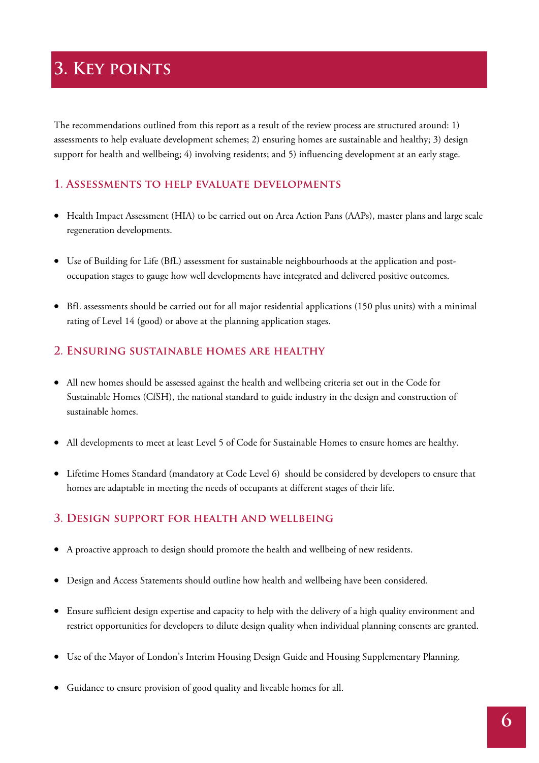# **3. Key points**

The recommendations outlined from this report as a result of the review process are structured around: 1) assessments to help evaluate development schemes; 2) ensuring homes are sustainable and healthy; 3) design support for health and wellbeing; 4) involving residents; and 5) influencing development at an early stage.

#### **1. Assessments to help evaluate developments**

- Health Impact Assessment (HIA) to be carried out on Area Action Pans (AAPs), master plans and large scale regeneration developments.
- Use of Building for Life (BfL) assessment for sustainable neighbourhoods at the application and postoccupation stages to gauge how well developments have integrated and delivered positive outcomes.
- BfL assessments should be carried out for all major residential applications (150 plus units) with a minimal rating of Level 14 (good) or above at the planning application stages.

#### **2. Ensuring sustainable homes are healthy**

- All new homes should be assessed against the health and wellbeing criteria set out in the Code for Sustainable Homes (CfSH), the national standard to guide industry in the design and construction of sustainable homes.
- All developments to meet at least Level 5 of Code for Sustainable Homes to ensure homes are healthy.
- Lifetime Homes Standard (mandatory at Code Level 6) should be considered by developers to ensure that homes are adaptable in meeting the needs of occupants at different stages of their life.

#### **3. Design support for health and wellbeing**

- A proactive approach to design should promote the health and wellbeing of new residents.
- Design and Access Statements should outline how health and wellbeing have been considered.
- Ensure sufficient design expertise and capacity to help with the delivery of a high quality environment and restrict opportunities for developers to dilute design quality when individual planning consents are granted.
- Use of the Mayor of London's Interim Housing Design Guide and Housing Supplementary Planning.
- Guidance to ensure provision of good quality and liveable homes for all.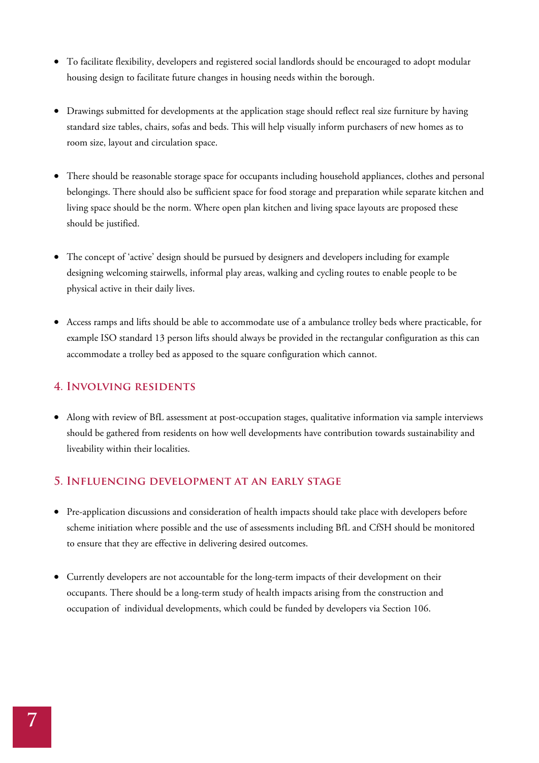- To facilitate flexibility, developers and registered social landlords should be encouraged to adopt modular housing design to facilitate future changes in housing needs within the borough.
- Drawings submitted for developments at the application stage should reflect real size furniture by having standard size tables, chairs, sofas and beds. This will help visually inform purchasers of new homes as to room size, layout and circulation space.
- There should be reasonable storage space for occupants including household appliances, clothes and personal belongings. There should also be sufficient space for food storage and preparation while separate kitchen and living space should be the norm. Where open plan kitchen and living space layouts are proposed these should be justified.
- The concept of 'active' design should be pursued by designers and developers including for example designing welcoming stairwells, informal play areas, walking and cycling routes to enable people to be physical active in their daily lives.
- Access ramps and lifts should be able to accommodate use of a ambulance trolley beds where practicable, for example ISO standard 13 person lifts should always be provided in the rectangular configuration as this can accommodate a trolley bed as apposed to the square configuration which cannot.

#### **4. Involving residents**

• Along with review of BfL assessment at post-occupation stages, qualitative information via sample interviews should be gathered from residents on how well developments have contribution towards sustainability and liveability within their localities.

#### **5. Influencing development at an early stage**

- Pre-application discussions and consideration of health impacts should take place with developers before scheme initiation where possible and the use of assessments including BfL and CfSH should be monitored to ensure that they are effective in delivering desired outcomes.
- Currently developers are not accountable for the long-term impacts of their development on their occupants. There should be a long-term study of health impacts arising from the construction and occupation of individual developments, which could be funded by developers via Section 106.